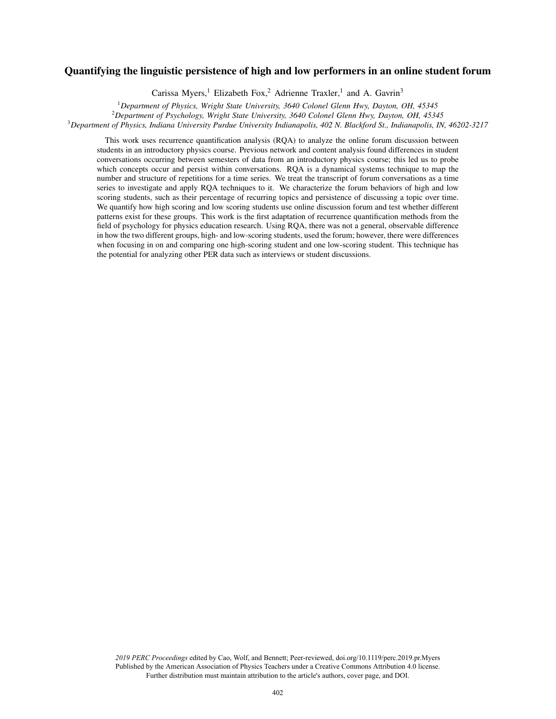# Quantifying the linguistic persistence of high and low performers in an online student forum

Carissa Myers,<sup>1</sup> Elizabeth Fox,<sup>2</sup> Adrienne Traxler,<sup>1</sup> and A. Gavrin<sup>3</sup>

<sup>1</sup>*Department of Physics, Wright State University, 3640 Colonel Glenn Hwy, Dayton, OH, 45345*

<sup>2</sup>*Department of Psychology, Wright State University, 3640 Colonel Glenn Hwy, Dayton, OH, 45345*

<sup>3</sup>*Department of Physics, Indiana University Purdue University Indianapolis, 402 N. Blackford St., Indianapolis, IN, 46202-3217*

This work uses recurrence quantification analysis (RQA) to analyze the online forum discussion between students in an introductory physics course. Previous network and content analysis found differences in student conversations occurring between semesters of data from an introductory physics course; this led us to probe which concepts occur and persist within conversations. RQA is a dynamical systems technique to map the number and structure of repetitions for a time series. We treat the transcript of forum conversations as a time series to investigate and apply RQA techniques to it. We characterize the forum behaviors of high and low scoring students, such as their percentage of recurring topics and persistence of discussing a topic over time. We quantify how high scoring and low scoring students use online discussion forum and test whether different patterns exist for these groups. This work is the first adaptation of recurrence quantification methods from the field of psychology for physics education research. Using RQA, there was not a general, observable difference in how the two different groups, high- and low-scoring students, used the forum; however, there were differences when focusing in on and comparing one high-scoring student and one low-scoring student. This technique has the potential for analyzing other PER data such as interviews or student discussions.

*2019 PERC Proceedings* edited by Cao, Wolf, and Bennett; Peer-reviewed, doi.org/10.1119/perc.2019.pr.Myers Published by the American Association of Physics Teachers under a Creative Commons Attribution 4.0 license. Further distribution must maintain attribution to the article's authors, cover page, and DOI.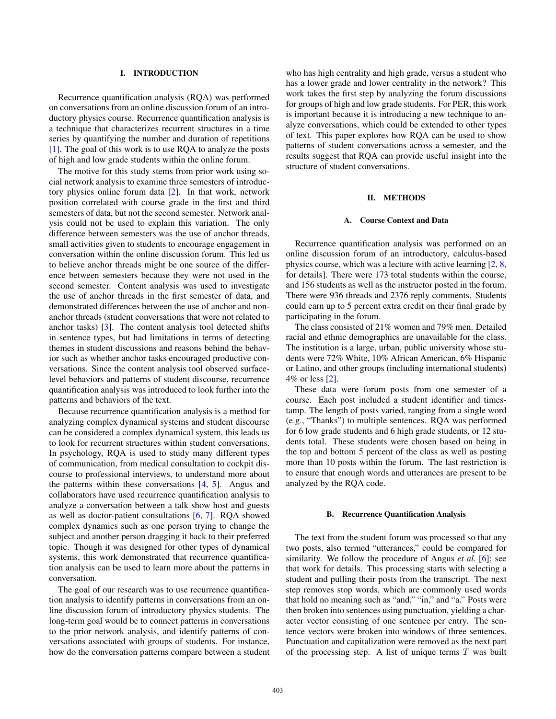# I. INTRODUCTION

Recurrence quantification analysis (RQA) was performed on conversations from an online discussion forum of an introductory physics course. Recurrence quantification analysis is a technique that characterizes recurrent structures in a time series by quantifying the number and duration of repetitions [1]. The goal of this work is to use RQA to analyze the posts of high and low grade students within the online forum.

The motive for this study stems from prior work using social network analysis to examine three semesters of introductory physics online forum data [2]. In that work, network position correlated with course grade in the first and third semesters of data, but not the second semester. Network analysis could not be used to explain this variation. The only difference between semesters was the use of anchor threads, small activities given to students to encourage engagement in conversation within the online discussion forum. This led us to believe anchor threads might be one source of the difference between semesters because they were not used in the second semester. Content analysis was used to investigate the use of anchor threads in the first semester of data, and demonstrated differences between the use of anchor and nonanchor threads (student conversations that were not related to anchor tasks) [3]. The content analysis tool detected shifts in sentence types, but had limitations in terms of detecting themes in student discussions and reasons behind the behavior such as whether anchor tasks encouraged productive conversations. Since the content analysis tool observed surfacelevel behaviors and patterns of student discourse, recurrence quantification analysis was introduced to look further into the patterns and behaviors of the text.

Because recurrence quantification analysis is a method for analyzing complex dynamical systems and student discourse can be considered a complex dynamical system, this leads us to look for recurrent structures within student conversations. In psychology, RQA is used to study many different types of communication, from medical consultation to cockpit discourse to professional interviews, to understand more about the patterns within these conversations [4, 5]. Angus and collaborators have used recurrence quantification analysis to analyze a conversation between a talk show host and guests as well as doctor-patient consultations [6, 7]. RQA showed complex dynamics such as one person trying to change the subject and another person dragging it back to their preferred topic. Though it was designed for other types of dynamical systems, this work demonstrated that recurrence quantification analysis can be used to learn more about the patterns in conversation.

The goal of our research was to use recurrence quantification analysis to identify patterns in conversations from an online discussion forum of introductory physics students. The long-term goal would be to connect patterns in conversations to the prior network analysis, and identify patterns of conversations associated with groups of students. For instance, how do the conversation patterns compare between a student who has high centrality and high grade, versus a student who has a lower grade and lower centrality in the network? This work takes the first step by analyzing the forum discussions for groups of high and low grade students. For PER, this work is important because it is introducing a new technique to analyze conversations, which could be extended to other types of text. This paper explores how RQA can be used to show patterns of student conversations across a semester, and the results suggest that RQA can provide useful insight into the structure of student conversations.

# II. METHODS

## A. Course Context and Data

Recurrence quantification analysis was performed on an online discussion forum of an introductory, calculus-based physics course, which was a lecture with active learning [2, 8, for details]. There were 173 total students within the course, and 156 students as well as the instructor posted in the forum. There were 936 threads and 2376 reply comments. Students could earn up to 5 percent extra credit on their final grade by participating in the forum.

The class consisted of 21% women and 79% men. Detailed racial and ethnic demographics are unavailable for the class. The institution is a large, urban, public university whose students were 72% White, 10% African American, 6% Hispanic or Latino, and other groups (including international students) 4% or less [2].

These data were forum posts from one semester of a course. Each post included a student identifier and timestamp. The length of posts varied, ranging from a single word (e.g., "Thanks") to multiple sentences. RQA was performed for 6 low grade students and 6 high grade students, or 12 students total. These students were chosen based on being in the top and bottom 5 percent of the class as well as posting more than 10 posts within the forum. The last restriction is to ensure that enough words and utterances are present to be analyzed by the RQA code.

#### B. Recurrence Quantification Analysis

The text from the student forum was processed so that any two posts, also termed "utterances," could be compared for similarity. We follow the procedure of Angus *et al.* [6]; see that work for details. This processing starts with selecting a student and pulling their posts from the transcript. The next step removes stop words, which are commonly used words that hold no meaning such as "and," "in," and "a." Posts were then broken into sentences using punctuation, yielding a character vector consisting of one sentence per entry. The sentence vectors were broken into windows of three sentences. Punctuation and capitalization were removed as the next part of the processing step. A list of unique terms  $T$  was built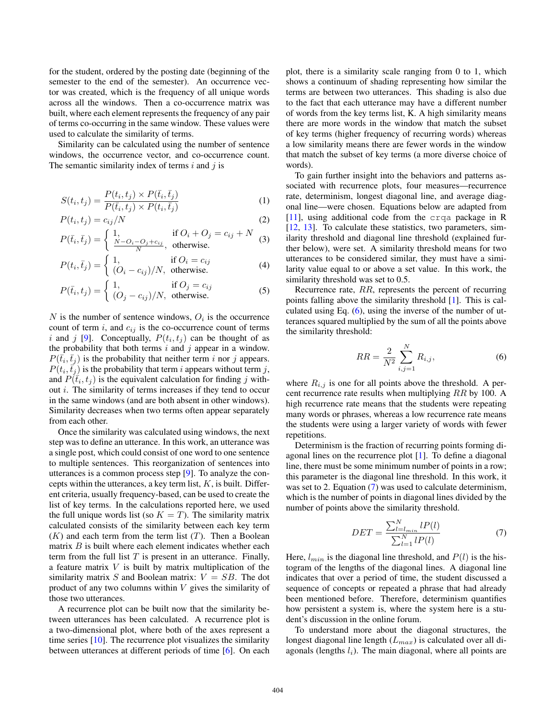for the student, ordered by the posting date (beginning of the semester to the end of the semester). An occurrence vector was created, which is the frequency of all unique words across all the windows. Then a co-occurrence matrix was built, where each element represents the frequency of any pair of terms co-occurring in the same window. These values were used to calculate the similarity of terms.

Similarity can be calculated using the number of sentence windows, the occurrence vector, and co-occurrence count. The semantic similarity index of terms  $i$  and  $j$  is

$$
S(t_i, t_j) = \frac{P(t_i, t_j) \times P(\bar{t}_i, \bar{t}_j)}{P(\bar{t}_i, t_j) \times P(t_i, \bar{t}_j)}
$$
(1)

$$
P(t_i, t_j) = c_{ij}/N \tag{2}
$$

$$
P(\bar{t}_i, \bar{t}_j) = \begin{cases} 1, & \text{if } O_i + O_j = c_{ij} + N \\ \frac{N - O_i - O_j + c_{ij}}{N}, & \text{otherwise.} \end{cases} \tag{3}
$$

$$
P(t_i, \bar{t}_j) = \begin{cases} 1, & \text{if } O_i = c_{ij} \\ (O_i - c_{ij})/N, & \text{otherwise.} \end{cases} \tag{4}
$$

$$
P(\bar{t}_i, t_j) = \begin{cases} 1, & \text{if } O_j = c_{ij} \\ (O_j - c_{ij})/N, & \text{otherwise.} \end{cases} \tag{5}
$$

N is the number of sentence windows,  $O_i$  is the occurrence count of term  $i$ , and  $c_{ij}$  is the co-occurrence count of terms i and j [9]. Conceptually,  $P(t_i, t_j)$  can be thought of as the probability that both terms  $i$  and  $j$  appear in a window.  $P(\bar{t}_i, \bar{t}_j)$  is the probability that neither term i nor j appears.  $P(t_i, \vec{t}_j)$  is the probability that term i appears without term j, and  $P(\tilde{t}_i, t_j)$  is the equivalent calculation for finding j without i. The similarity of terms increases if they tend to occur in the same windows (and are both absent in other windows). Similarity decreases when two terms often appear separately from each other.

Once the similarity was calculated using windows, the next step was to define an utterance. In this work, an utterance was a single post, which could consist of one word to one sentence to multiple sentences. This reorganization of sentences into utterances is a common process step [9]. To analyze the concepts within the utterances, a key term list,  $K$ , is built. Different criteria, usually frequency-based, can be used to create the list of key terms. In the calculations reported here, we used the full unique words list (so  $K = T$ ). The similarity matrix calculated consists of the similarity between each key term  $(K)$  and each term from the term list  $(T)$ . Then a Boolean matrix  $B$  is built where each element indicates whether each term from the full list  $T$  is present in an utterance. Finally, a feature matrix  $V$  is built by matrix multiplication of the similarity matrix S and Boolean matrix:  $V = SB$ . The dot product of any two columns within  $V$  gives the similarity of those two utterances.

A recurrence plot can be built now that the similarity between utterances has been calculated. A recurrence plot is a two-dimensional plot, where both of the axes represent a time series [10]. The recurrence plot visualizes the similarity between utterances at different periods of time [6]. On each plot, there is a similarity scale ranging from 0 to 1, which shows a continuum of shading representing how similar the terms are between two utterances. This shading is also due to the fact that each utterance may have a different number of words from the key terms list, K. A high similarity means there are more words in the window that match the subset of key terms (higher frequency of recurring words) whereas a low similarity means there are fewer words in the window that match the subset of key terms (a more diverse choice of words).

To gain further insight into the behaviors and patterns associated with recurrence plots, four measures—recurrence rate, determinism, longest diagonal line, and average diagonal line—were chosen. Equations below are adapted from [11], using additional code from the crqa package in R [12, 13]. To calculate these statistics, two parameters, similarity threshold and diagonal line threshold (explained further below), were set. A similarity threshold means for two utterances to be considered similar, they must have a similarity value equal to or above a set value. In this work, the similarity threshold was set to 0.5.

Recurrence rate, RR, represents the percent of recurring points falling above the similarity threshold [1]. This is calculated using Eq.  $(6)$ , using the inverse of the number of utterances squared multiplied by the sum of all the points above the similarity threshold:

<span id="page-2-0"></span>
$$
RR = \frac{2}{N^2} \sum_{i,j=1}^{N} R_{i,j},
$$
\n(6)

where  $R_{i,j}$  is one for all points above the threshold. A percent recurrence rate results when multiplying RR by 100. A high recurrence rate means that the students were repeating many words or phrases, whereas a low recurrence rate means the students were using a larger variety of words with fewer repetitions.

Determinism is the fraction of recurring points forming diagonal lines on the recurrence plot [1]. To define a diagonal line, there must be some minimum number of points in a row; this parameter is the diagonal line threshold. In this work, it was set to 2. Equation [\(7\)](#page-2-1) was used to calculate determinism, which is the number of points in diagonal lines divided by the number of points above the similarity threshold.

<span id="page-2-1"></span>
$$
DET = \frac{\sum_{l=l_{min}}^{N} lP(l)}{\sum_{l=1}^{N} lP(l)}
$$
(7)

Here,  $l_{min}$  is the diagonal line threshold, and  $P(l)$  is the histogram of the lengths of the diagonal lines. A diagonal line indicates that over a period of time, the student discussed a sequence of concepts or repeated a phrase that had already been mentioned before. Therefore, determinism quantifies how persistent a system is, where the system here is a student's discussion in the online forum.

To understand more about the diagonal structures, the longest diagonal line length  $(L_{max})$  is calculated over all diagonals (lengths  $l_i$ ). The main diagonal, where all points are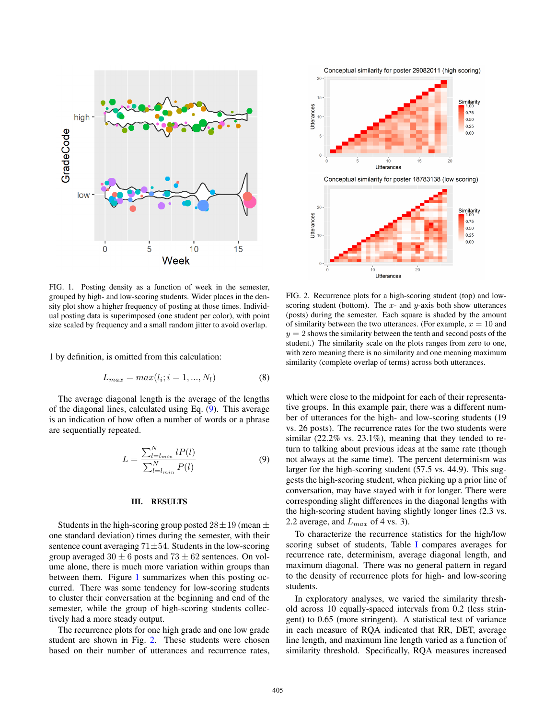

<span id="page-3-1"></span>FIG. 1. Posting density as a function of week in the semester, grouped by high- and low-scoring students. Wider places in the density plot show a higher frequency of posting at those times. Individual posting data is superimposed (one student per color), with point size scaled by frequency and a small random jitter to avoid overlap.

1 by definition, is omitted from this calculation:

$$
L_{max} = max(l_i; i = 1, ..., N_l)
$$
 (8)

The average diagonal length is the average of the lengths of the diagonal lines, calculated using Eq. [\(9\)](#page-3-0). This average is an indication of how often a number of words or a phrase are sequentially repeated.

<span id="page-3-0"></span>
$$
L = \frac{\sum_{l=l_{min}}^{N} lP(l)}{\sum_{l=l_{min}}^{N} P(l)}
$$
(9)

## III. RESULTS

Students in the high-scoring group posted  $28 \pm 19$  (mean  $\pm$ one standard deviation) times during the semester, with their sentence count averaging  $71 \pm 54$ . Students in the low-scoring group averaged  $30 \pm 6$  posts and  $73 \pm 62$  sentences. On volume alone, there is much more variation within groups than between them. Figure [1](#page-3-1) summarizes when this posting occurred. There was some tendency for low-scoring students to cluster their conversation at the beginning and end of the semester, while the group of high-scoring students collectively had a more steady output.

The recurrence plots for one high grade and one low grade student are shown in Fig. [2.](#page-3-2) These students were chosen based on their number of utterances and recurrence rates,



<span id="page-3-2"></span>FIG. 2. Recurrence plots for a high-scoring student (top) and lowscoring student (bottom). The  $x$ - and  $y$ -axis both show utterances (posts) during the semester. Each square is shaded by the amount of similarity between the two utterances. (For example,  $x = 10$  and  $y = 2$  shows the similarity between the tenth and second posts of the student.) The similarity scale on the plots ranges from zero to one, with zero meaning there is no similarity and one meaning maximum similarity (complete overlap of terms) across both utterances.

which were close to the midpoint for each of their representative groups. In this example pair, there was a different number of utterances for the high- and low-scoring students (19 vs. 26 posts). The recurrence rates for the two students were similar (22.2% vs. 23.1%), meaning that they tended to return to talking about previous ideas at the same rate (though not always at the same time). The percent determinism was larger for the high-scoring student (57.5 vs. 44.9). This suggests the high-scoring student, when picking up a prior line of conversation, may have stayed with it for longer. There were corresponding slight differences in the diagonal lengths with the high-scoring student having slightly longer lines (2.3 vs. 2.2 average, and  $L_{max}$  of 4 vs. 3).

To characterize the recurrence statistics for the high/low scoring subset of students, Table I compares averages for recurrence rate, determinism, average diagonal length, and maximum diagonal. There was no general pattern in regard to the density of recurrence plots for high- and low-scoring students.

In exploratory analyses, we varied the similarity threshold across 10 equally-spaced intervals from 0.2 (less stringent) to 0.65 (more stringent). A statistical test of variance in each measure of RQA indicated that RR, DET, average line length, and maximum line length varied as a function of similarity threshold. Specifically, RQA measures increased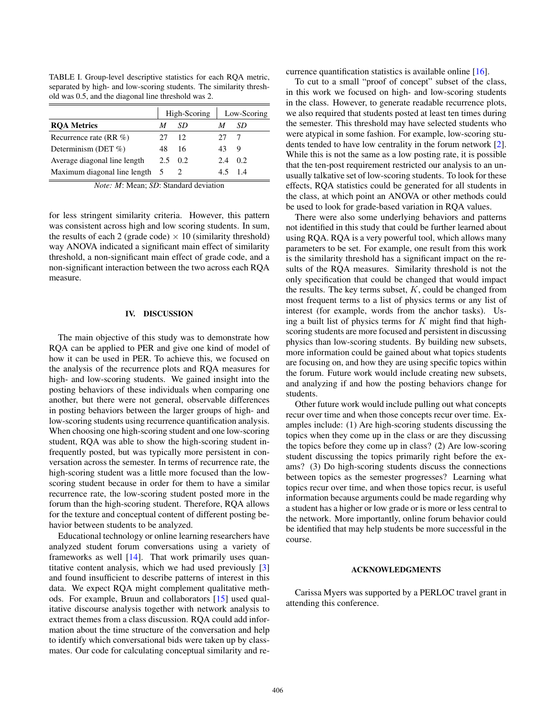TABLE I. Group-level descriptive statistics for each RQA metric, separated by high- and low-scoring students. The similarity threshold was 0.5, and the diagonal line threshold was 2.

|                                | High-Scoring |             | Low-Scoring |    |
|--------------------------------|--------------|-------------|-------------|----|
| <b>ROA Metrics</b>             |              | SD          |             | SD |
| Recurrence rate $(RR \%)$      | 27           | 12          | 27          |    |
| Determinism (DET %)            | 48           | 16          | 43          | 9  |
| Average diagonal line length   |              | $2.5 \t0.2$ | 24          | 02 |
| Maximum diagonal line length 5 |              |             |             | 14 |

*Note: M*: Mean; *SD*: Standard deviation

for less stringent similarity criteria. However, this pattern was consistent across high and low scoring students. In sum, the results of each 2 (grade code)  $\times$  10 (similarity threshold) way ANOVA indicated a significant main effect of similarity threshold, a non-significant main effect of grade code, and a non-significant interaction between the two across each RQA measure.

## IV. DISCUSSION

The main objective of this study was to demonstrate how RQA can be applied to PER and give one kind of model of how it can be used in PER. To achieve this, we focused on the analysis of the recurrence plots and RQA measures for high- and low-scoring students. We gained insight into the posting behaviors of these individuals when comparing one another, but there were not general, observable differences in posting behaviors between the larger groups of high- and low-scoring students using recurrence quantification analysis. When choosing one high-scoring student and one low-scoring student, RQA was able to show the high-scoring student infrequently posted, but was typically more persistent in conversation across the semester. In terms of recurrence rate, the high-scoring student was a little more focused than the lowscoring student because in order for them to have a similar recurrence rate, the low-scoring student posted more in the forum than the high-scoring student. Therefore, RQA allows for the texture and conceptual content of different posting behavior between students to be analyzed.

Educational technology or online learning researchers have analyzed student forum conversations using a variety of frameworks as well [14]. That work primarily uses quantitative content analysis, which we had used previously [3] and found insufficient to describe patterns of interest in this data. We expect RQA might complement qualitative methods. For example, Bruun and collaborators [15] used qualitative discourse analysis together with network analysis to extract themes from a class discussion. RQA could add information about the time structure of the conversation and help to identify which conversational bids were taken up by classmates. Our code for calculating conceptual similarity and recurrence quantification statistics is available online [16].

To cut to a small "proof of concept" subset of the class, in this work we focused on high- and low-scoring students in the class. However, to generate readable recurrence plots, we also required that students posted at least ten times during the semester. This threshold may have selected students who were atypical in some fashion. For example, low-scoring students tended to have low centrality in the forum network [2]. While this is not the same as a low posting rate, it is possible that the ten-post requirement restricted our analysis to an unusually talkative set of low-scoring students. To look for these effects, RQA statistics could be generated for all students in the class, at which point an ANOVA or other methods could be used to look for grade-based variation in RQA values.

There were also some underlying behaviors and patterns not identified in this study that could be further learned about using RQA. RQA is a very powerful tool, which allows many parameters to be set. For example, one result from this work is the similarity threshold has a significant impact on the results of the RQA measures. Similarity threshold is not the only specification that could be changed that would impact the results. The key terms subset,  $K$ , could be changed from most frequent terms to a list of physics terms or any list of interest (for example, words from the anchor tasks). Using a built list of physics terms for  $K$  might find that highscoring students are more focused and persistent in discussing physics than low-scoring students. By building new subsets, more information could be gained about what topics students are focusing on, and how they are using specific topics within the forum. Future work would include creating new subsets, and analyzing if and how the posting behaviors change for students.

Other future work would include pulling out what concepts recur over time and when those concepts recur over time. Examples include: (1) Are high-scoring students discussing the topics when they come up in the class or are they discussing the topics before they come up in class? (2) Are low-scoring student discussing the topics primarily right before the exams? (3) Do high-scoring students discuss the connections between topics as the semester progresses? Learning what topics recur over time, and when those topics recur, is useful information because arguments could be made regarding why a student has a higher or low grade or is more or less central to the network. More importantly, online forum behavior could be identified that may help students be more successful in the course.

#### ACKNOWLEDGMENTS

Carissa Myers was supported by a PERLOC travel grant in attending this conference.